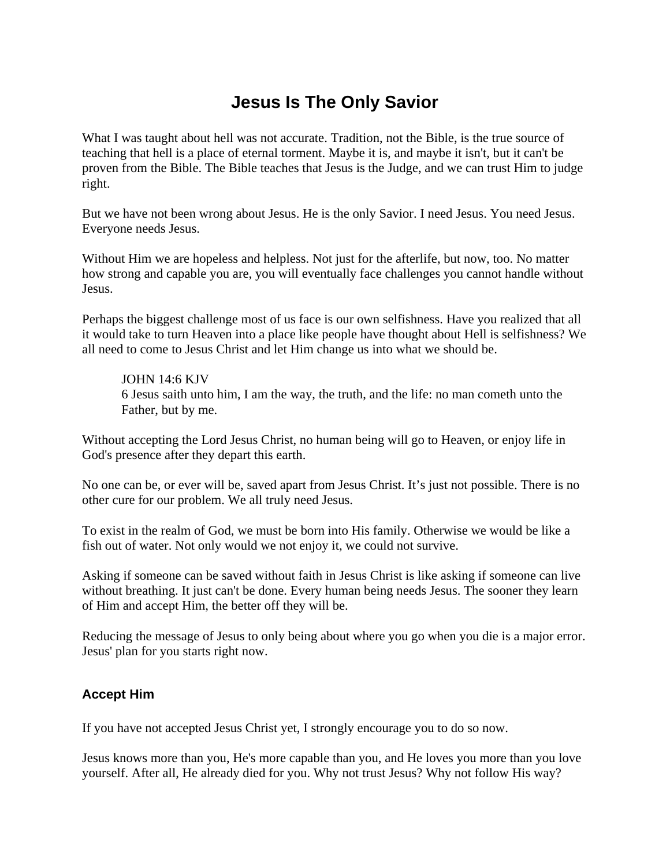# **Jesus Is The Only Savior**

What I was taught about hell was not accurate. Tradition, not the Bible, is the true source of teaching that hell is a place of eternal torment. Maybe it is, and maybe it isn't, but it can't be proven from the Bible. The Bible teaches that Jesus is the Judge, and we can trust Him to judge right.

But we have not been wrong about Jesus. He is the only Savior. I need Jesus. You need Jesus. Everyone needs Jesus.

Without Him we are hopeless and helpless. Not just for the afterlife, but now, too. No matter how strong and capable you are, you will eventually face challenges you cannot handle without Jesus.

Perhaps the biggest challenge most of us face is our own selfishness. Have you realized that all it would take to turn Heaven into a place like people have thought about Hell is selfishness? We all need to come to Jesus Christ and let Him change us into what we should be.

## JOHN 14:6 KJV

6 Jesus saith unto him, I am the way, the truth, and the life: no man cometh unto the Father, but by me.

Without accepting the Lord Jesus Christ, no human being will go to Heaven, or enjoy life in God's presence after they depart this earth.

No one can be, or ever will be, saved apart from Jesus Christ. It's just not possible. There is no other cure for our problem. We all truly need Jesus.

To exist in the realm of God, we must be born into His family. Otherwise we would be like a fish out of water. Not only would we not enjoy it, we could not survive.

Asking if someone can be saved without faith in Jesus Christ is like asking if someone can live without breathing. It just can't be done. Every human being needs Jesus. The sooner they learn of Him and accept Him, the better off they will be.

Reducing the message of Jesus to only being about where you go when you die is a major error. Jesus' plan for you starts right now.

# **Accept Him**

If you have not accepted Jesus Christ yet, I strongly encourage you to do so now.

Jesus knows more than you, He's more capable than you, and He loves you more than you love yourself. After all, He already died for you. Why not trust Jesus? Why not follow His way?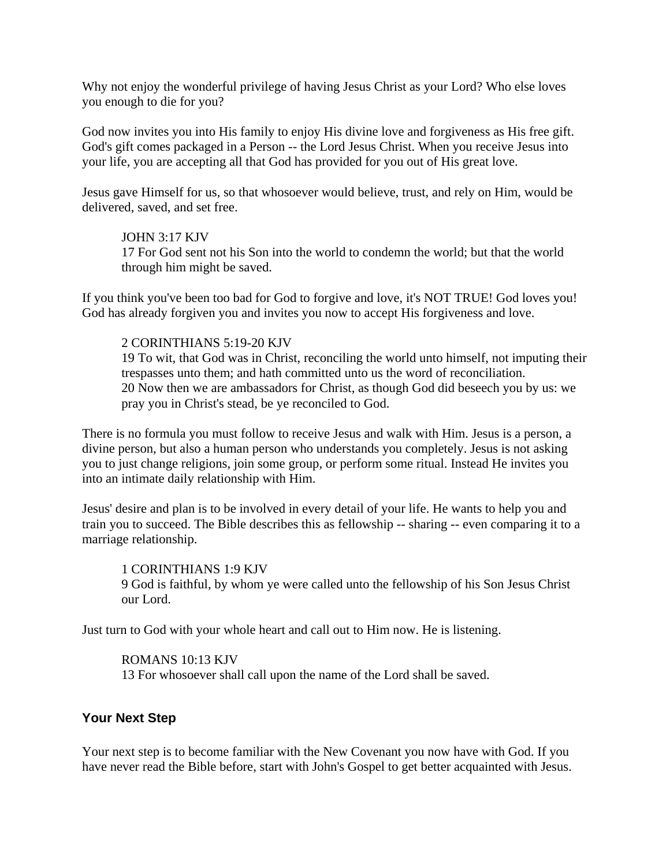Why not enjoy the wonderful privilege of having Jesus Christ as your Lord? Who else loves you enough to die for you?

God now invites you into His family to enjoy His divine love and forgiveness as His free gift. God's gift comes packaged in a Person -- the Lord Jesus Christ. When you receive Jesus into your life, you are accepting all that God has provided for you out of His great love.

Jesus gave Himself for us, so that whosoever would believe, trust, and rely on Him, would be delivered, saved, and set free.

#### JOHN 3:17 KJV

17 For God sent not his Son into the world to condemn the world; but that the world through him might be saved.

If you think you've been too bad for God to forgive and love, it's NOT TRUE! God loves you! God has already forgiven you and invites you now to accept His forgiveness and love.

# 2 CORINTHIANS 5:19-20 KJV

19 To wit, that God was in Christ, reconciling the world unto himself, not imputing their trespasses unto them; and hath committed unto us the word of reconciliation. 20 Now then we are ambassadors for Christ, as though God did beseech you by us: we pray you in Christ's stead, be ye reconciled to God.

There is no formula you must follow to receive Jesus and walk with Him. Jesus is a person, a divine person, but also a human person who understands you completely. Jesus is not asking you to just change religions, join some group, or perform some ritual. Instead He invites you into an intimate daily relationship with Him.

Jesus' desire and plan is to be involved in every detail of your life. He wants to help you and train you to succeed. The Bible describes this as fellowship -- sharing -- even comparing it to a marriage relationship.

1 CORINTHIANS 1:9 KJV 9 God is faithful, by whom ye were called unto the fellowship of his Son Jesus Christ our Lord.

Just turn to God with your whole heart and call out to Him now. He is listening.

ROMANS 10:13 KJV 13 For whosoever shall call upon the name of the Lord shall be saved.

## **Your Next Step**

Your next step is to become familiar with the New Covenant you now have with God. If you have never read the Bible before, start with John's Gospel to get better acquainted with Jesus.